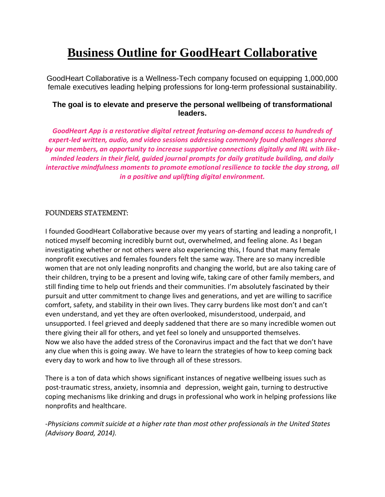# **Business Outline for GoodHeart Collaborative**

GoodHeart Collaborative is a Wellness-Tech company focused on equipping 1,000,000 female executives leading helping professions for long-term professional sustainability.

# **The goal is to elevate and preserve the personal wellbeing of transformational leaders.**

*GoodHeart App is a restorative digital retreat featuring on-demand access to hundreds of expert-led written, audio, and video sessions addressing commonly found challenges shared by our members, an opportunity to increase supportive connections digitally and IRL with likeminded leaders in their field, guided journal prompts for daily gratitude building, and daily interactive mindfulness moments to promote emotional resilience to tackle the day strong, all in a positive and uplifting digital environment.*

# FOUNDERS STATEMENT:

I founded GoodHeart Collaborative because over my years of starting and leading a nonprofit, I noticed myself becoming incredibly burnt out, overwhelmed, and feeling alone. As I began investigating whether or not others were also experiencing this, I found that many female nonprofit executives and females founders felt the same way. There are so many incredible women that are not only leading nonprofits and changing the world, but are also taking care of their children, trying to be a present and loving wife, taking care of other family members, and still finding time to help out friends and their communities. I'm absolutely fascinated by their pursuit and utter commitment to change lives and generations, and yet are willing to sacrifice comfort, safety, and stability in their own lives. They carry burdens like most don't and can't even understand, and yet they are often overlooked, misunderstood, underpaid, and unsupported. I feel grieved and deeply saddened that there are so many incredible women out there giving their all for others, and yet feel so lonely and unsupported themselves. Now we also have the added stress of the Coronavirus impact and the fact that we don't have any clue when this is going away. We have to learn the strategies of how to keep coming back every day to work and how to live through all of these stressors.

There is a ton of data which shows significant instances of negative wellbeing issues such as post-traumatic stress, anxiety, insomnia and depression, weight gain, turning to destructive coping mechanisms like drinking and drugs in professional who work in helping professions like nonprofits and healthcare.

*-Physicians commit suicide at a higher rate than most other professionals in the United States (Advisory Board, 2014).*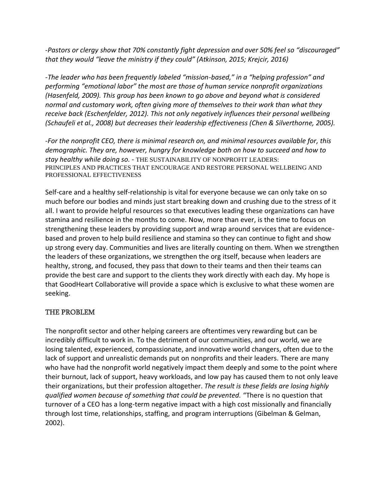*-Pastors or clergy show that 70% constantly fight depression and over 50% feel so "discouraged" that they would "leave the ministry if they could" (Atkinson, 2015; Krejcir, 2016)*

*-The leader who has been frequently labeled "mission-based," in a "helping profession" and performing "emotional labor" the most are those of human service nonprofit organizations (Hasenfeld, 2009). This group has been known to go above and beyond what is considered normal and customary work, often giving more of themselves to their work than what they receive back (Eschenfelder, 2012). This not only negatively influences their personal wellbeing (Schaufeli et al., 2008) but decreases their leadership effectiveness (Chen & Silverthorne, 2005).*

*-For the nonprofit CEO, there is minimal research on, and minimal resources available for, this demographic. They are, however, hungry for knowledge both on how to succeed and how to stay healthy while doing so. -* THE SUSTAINABILITY OF NONPROFIT LEADERS: PRINCIPLES AND PRACTICES THAT ENCOURAGE AND RESTORE PERSONAL WELLBEING AND PROFESSIONAL EFFECTIVENESS

Self-care and a healthy self-relationship is vital for everyone because we can only take on so much before our bodies and minds just start breaking down and crushing due to the stress of it all. I want to provide helpful resources so that executives leading these organizations can have stamina and resilience in the months to come. Now, more than ever, is the time to focus on strengthening these leaders by providing support and wrap around services that are evidencebased and proven to help build resilience and stamina so they can continue to fight and show up strong every day. Communities and lives are literally counting on them. When we strengthen the leaders of these organizations, we strengthen the org itself, because when leaders are healthy, strong, and focused, they pass that down to their teams and then their teams can provide the best care and support to the clients they work directly with each day. My hope is that GoodHeart Collaborative will provide a space which is exclusive to what these women are seeking.

# THE PROBLEM

The nonprofit sector and other helping careers are oftentimes very rewarding but can be incredibly difficult to work in. To the detriment of our communities, and our world, we are losing talented, experienced, compassionate, and innovative world changers, often due to the lack of support and unrealistic demands put on nonprofits and their leaders. There are many who have had the nonprofit world negatively impact them deeply and some to the point where their burnout, lack of support, heavy workloads, and low pay has caused them to not only leave their organizations, but their profession altogether. *The result is these fields are losing highly qualified women because of something that could be prevented.* "There is no question that turnover of a CEO has a long-term negative impact with a high cost missionally and financially through lost time, relationships, staffing, and program interruptions (Gibelman & Gelman, 2002).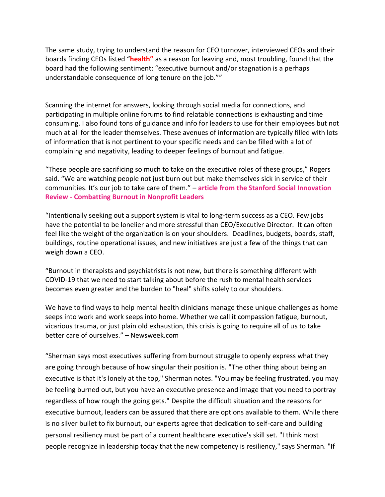The same study, trying to understand the reason for CEO turnover, interviewed CEOs and their boards finding CEOs listed "**health"** as a reason for leaving and, most troubling, found that the board had the following sentiment: "executive burnout and/or stagnation is a perhaps understandable consequence of long tenure on the job.""

Scanning the internet for answers, looking through social media for connections, and participating in multiple online forums to find relatable connections is exhausting and time consuming. I also found tons of guidance and info for leaders to use for their employees but not much at all for the leader themselves. These avenues of information are typically filled with lots of information that is not pertinent to your specific needs and can be filled with a lot of complaining and negativity, leading to deeper feelings of burnout and fatigue.

"These people are sacrificing so much to take on the executive roles of these groups," Rogers said. "We are watching people not just burn out but make themselves sick in service of their communities. It's our job to take care of them." – **article from the Stanford Social Innovation Review - Combatting Burnout in Nonprofit Leaders**

"Intentionally seeking out a support system is vital to long-term success as a CEO. Few jobs have the potential to be lonelier and more stressful than CEO/Executive Director. It can often feel like the weight of the organization is on your shoulders. Deadlines, budgets, boards, [staff,](http://dickerson-bakker.com/paying-more-to-spend-less/) buildings, routine operational issues, and [new initiatives](http://dickerson-bakker.com/improve-leadership-just-say-no/) are just a few of the things that can weigh down a CEO.

"Burnout in therapists and psychiatrists is not [new,](https://pubmed.ncbi.nlm.nih.gov/22951335/) but there is something different with COVID-19 that we need to start talking about before the rush to mental health services becomes even greater and the burden to "heal" shifts solely to our shoulders.

We have to find ways to help mental health clinicians manage these unique challenges as home seeps into work and work seeps into home. Whether we call it compassion fatigue, burnout, vicarious trauma, or just plain old exhaustion, this crisis is going to require all of us to take better care of ourselves." – Newsweek.com

"Sherman says most executives suffering from burnout struggle to openly express what they are going through because of how singular their position is. "The other thing about being an executive is that it's lonely at the top," Sherman notes. "You may be feeling frustrated, you may be feeling burned out, but you have an executive presence and image that you need to portray regardless of how rough the going gets." Despite the difficult situation and the reasons for executive burnout, leaders can be assured that there are options available to them. While there is no silver bullet to fix burnout, our experts agree that dedication to self-care and building personal resiliency must be part of a current healthcare executive's skill set. "I think most people recognize in leadership today that the new competency is resiliency," says Sherman. "If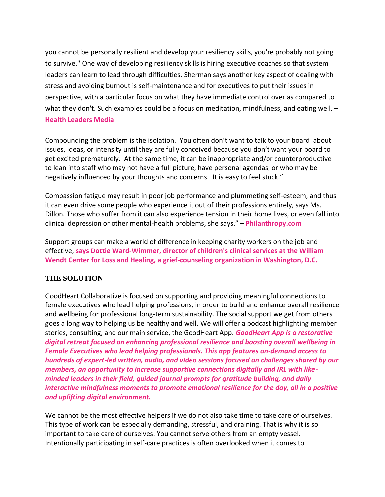you cannot be personally resilient and develop your resiliency skills, you're probably not going to survive." One way of developing resiliency skills is hiring executive coaches so that system leaders can learn to lead through difficulties. Sherman says another key aspect of dealing with stress and avoiding burnout is self-maintenance and for executives to put their issues in perspective, with a particular focus on what they have immediate control over as compared to what they don't. Such examples could be a focus on meditation, mindfulness, and eating well. -**Health Leaders Media**

Compounding the problem is the isolation. You often don't want to talk to your [board](http://dickerson-bakker.com/top-4-triggers-of-board-misbehavior/) about issues, ideas, or intensity until they are fully conceived because you don't want your board to get excited prematurely. At the same time, it can be inappropriate and/or counterproductive to lean into staff who may not have a full picture, have personal agendas, or who may be negatively influenced by your thoughts and concerns. It is easy to feel stuck."

Compassion fatigue may result in poor job performance and plummeting self-esteem, and thus it can even drive some people who experience it out of their professions entirely, says Ms. Dillon. Those who suffer from it can also experience tension in their home lives, or even fall into clinical depression or other mental-health problems, she says." – **Philanthropy.com**

Support groups can make a world of difference in keeping charity workers on the job and effective, **says Dottie Ward-Wimmer, director of children's clinical services at the William Wendt Center for Loss and Healing, a grief-counseling organization in Washington, D.C.**

# **THE SOLUTION**

GoodHeart Collaborative is focused on supporting and providing meaningful connections to female executives who lead helping professions, in order to build and enhance overall resilience and wellbeing for professional long-term sustainability. The social support we get from others goes a long way to helping us be healthy and well. We will offer a podcast highlighting member stories, consulting, and our main service, the GoodHeart App. *GoodHeart App is a restorative digital retreat focused on enhancing professional resilience and boosting overall wellbeing in Female Executives who lead helping professionals. This app features on-demand access to hundreds of expert-led written, audio, and video sessions focused on challenges shared by our members, an opportunity to increase supportive connections digitally and IRL with likeminded leaders in their field, guided journal prompts for gratitude building, and daily interactive mindfulness moments to promote emotional resilience for the day, all in a positive and uplifting digital environment.* 

We cannot be the most effective helpers if we do not also take time to take care of ourselves. This type of work can be especially demanding, stressful, and draining. That is why it is so important to take care of ourselves. You cannot serve others from an empty vessel. Intentionally participating in self-care practices is often overlooked when it comes to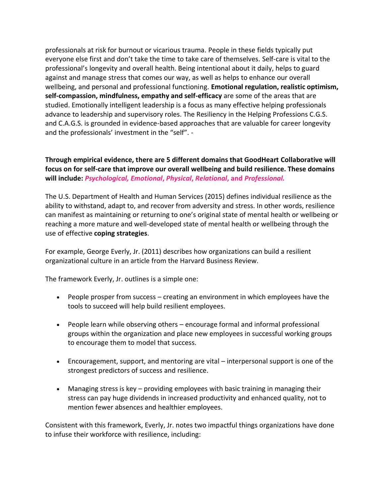professionals at risk for burnout or vicarious trauma. People in these fields typically put everyone else first and don't take the time to take care of themselves. Self-care is vital to the professional's longevity and overall health. Being intentional about it daily, helps to guard against and manage stress that comes our way, as well as helps to enhance our overall wellbeing, and personal and professional functioning. **Emotional regulation, realistic optimism, self-compassion, mindfulness, empathy and self-efficacy** are some of the areas that are studied. Emotionally intelligent leadership is a focus as many effective helping professionals advance to leadership and supervisory roles. The Resiliency in the Helping Professions C.G.S. and C.A.G.S. is grounded in evidence-based approaches that are valuable for career longevity and the professionals' investment in the "self". -

# **Through empirical evidence, there are 5 different domains that GoodHeart Collaborative will focus on for self-care that improve our overall wellbeing and build resilience. These domains will include:** *Psychological, Emotional***,** *Physical***,** *Relational***, and** *Professional.*

The U.S. Department of Health and Human Services (2015) defines individual resilience as the ability to withstand, adapt to, and recover from adversity and stress. In other words, resilience can manifest as maintaining or returning to one's original state of mental health or wellbeing or reaching a more mature and well-developed state of mental health or wellbeing through the use of effective **[coping strategies](https://positivepsychology.com/coping-skills-worksheets/)**.

For example, George Everly, Jr. (2011) describes how organizations can build a resilient organizational culture in an article from the Harvard Business Review.

The framework Everly, Jr. outlines is a simple one:

- People prosper from success creating an environment in which employees have the tools to succeed will help build resilient employees.
- People learn while observing others encourage formal and informal professional groups within the organization and place new employees in successful working groups to encourage them to model that success.
- Encouragement, support, and mentoring are vital interpersonal support is one of the strongest predictors of success and resilience.
- Managing stress is key providing employees with basic training in managing their stress can pay huge dividends in increased productivity and enhanced quality, not to mention fewer absences and healthier employees.

Consistent with this framework, Everly, Jr. notes two impactful things organizations have done to infuse their workforce with resilience, including: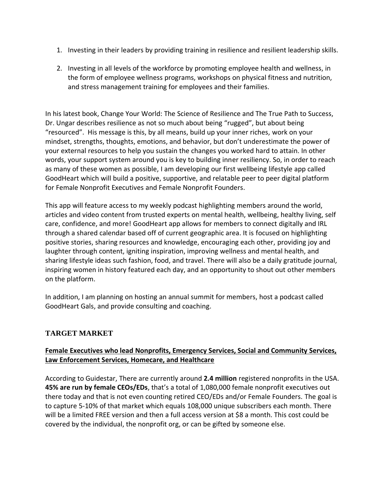- 1. Investing in their leaders by providing training in resilience and resilient leadership skills.
- 2. Investing in all levels of the workforce by promoting employee health and [wellness,](https://positivepsychology.com/wellness-coaches/) in the form of employee wellness programs, workshops on physical fitness and nutrition, and stress management training for employees and their families.

In his latest book, Change Your World: The Science of Resilience and The True Path to Success, Dr. Ungar describes resilience as not so much about being "rugged", but about being "resourced". His message is this, by all means, build up your inner riches, work on your mindset, strengths, thoughts, emotions, and behavior, but don't underestimate the power of your external resources to help you sustain the changes you worked hard to attain. In other words, your support system around you is key to building inner resiliency. So, in order to reach as many of these women as possible, I am developing our first wellbeing lifestyle app called GoodHeart which will build a positive, supportive, and relatable peer to peer digital platform for Female Nonprofit Executives and Female Nonprofit Founders.

This app will feature access to my weekly podcast highlighting members around the world, articles and video content from trusted experts on mental health, wellbeing, healthy living, self care, confidence, and more! GoodHeart app allows for members to connect digitally and IRL through a shared calendar based off of current geographic area. It is focused on highlighting positive stories, sharing resources and knowledge, encouraging each other, providing joy and laughter through content, igniting inspiration, improving wellness and mental health, and sharing lifestyle ideas such fashion, food, and travel. There will also be a daily gratitude journal, inspiring women in history featured each day, and an opportunity to shout out other members on the platform.

In addition, I am planning on hosting an annual summit for members, host a podcast called GoodHeart Gals, and provide consulting and coaching.

# **TARGET MARKET**

# **Female Executives who lead Nonprofits, Emergency Services, Social and Community Services, Law Enforcement Services, Homecare, and Healthcare**

According to Guidestar, There are currently around **2.4 million** registered nonprofits in the USA. **45% are run by female CEOs/EDs**, that's a total of 1,080,000 female nonprofit executives out there today and that is not even counting retired CEO/EDs and/or Female Founders. The goal is to capture 5-10% of that market which equals 108,000 unique subscribers each month. There will be a limited FREE version and then a full access version at \$8 a month. This cost could be covered by the individual, the nonprofit org, or can be gifted by someone else.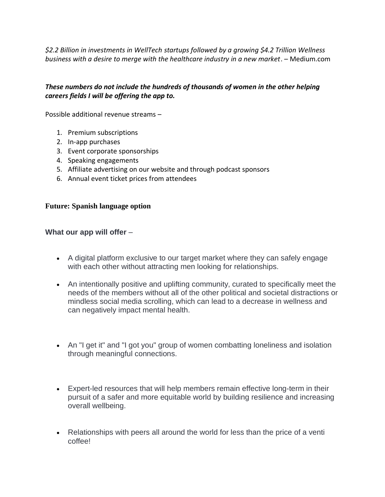*\$2.2 Billion in investments in WellTech startups followed by a growing \$4.2 Trillion Wellness business with a desire to merge with the healthcare industry in a new market*. – Medium.com

# *These numbers do not include the hundreds of thousands of women in the other helping careers fields I will be offering the app to.*

Possible additional revenue streams –

- 1. Premium subscriptions
- 2. In-app purchases
- 3. Event corporate sponsorships
- 4. Speaking engagements
- 5. Affiliate advertising on our website and through podcast sponsors
- 6. Annual event ticket prices from attendees

#### **Future: Spanish language option**

#### **What our app will offer** –

- A digital platform exclusive to our target market where they can safely engage with each other without attracting men looking for relationships.
- An intentionally positive and uplifting community, curated to specifically meet the needs of the members without all of the other political and societal distractions or mindless social media scrolling, which can lead to a decrease in wellness and can negatively impact mental health.
- An "I get it" and "I got you" group of women combatting loneliness and isolation through meaningful connections.
- Expert-led resources that will help members remain effective long-term in their pursuit of a safer and more equitable world by building resilience and increasing overall wellbeing.
- Relationships with peers all around the world for less than the price of a venti coffee!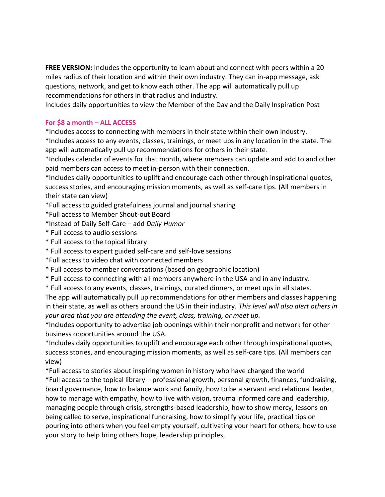**FREE VERSION:** Includes the opportunity to learn about and connect with peers within a 20 miles radius of their location and within their own industry. They can in-app message, ask questions, network, and get to know each other. The app will automatically pull up recommendations for others in that radius and industry.

Includes daily opportunities to view the Member of the Day and the Daily Inspiration Post

#### **For \$8 a month – ALL ACCESS**

\*Includes access to connecting with members in their state within their own industry.

\*Includes access to any events, classes, trainings, or meet ups in any location in the state. The app will automatically pull up recommendations for others in their state.

\*Includes calendar of events for that month, where members can update and add to and other paid members can access to meet in-person with their connection.

\*Includes daily opportunities to uplift and encourage each other through inspirational quotes, success stories, and encouraging mission moments, as well as self-care tips. (All members in their state can view)

\*Full access to guided gratefulness journal and journal sharing

\*Full access to Member Shout-out Board

\*Instead of Daily Self-Care – add *Daily Humor*

- \* Full access to audio sessions
- \* Full access to the topical library
- \* Full access to expert guided self-care and self-love sessions

\*Full access to video chat with connected members

- \* Full access to member conversations (based on geographic location)
- \* Full access to connecting with all members anywhere in the USA and in any industry.
- \* Full access to any events, classes, trainings, curated dinners, or meet ups in all states.

The app will automatically pull up recommendations for other members and classes happening in their state, as well as others around the US in their industry. *This level will also alert others in your area that you are attending the event, class, training, or meet up.*

\*Includes opportunity to advertise job openings within their nonprofit and network for other business opportunities around the USA.

\*Includes daily opportunities to uplift and encourage each other through inspirational quotes, success stories, and encouraging mission moments, as well as self-care tips. (All members can view)

\*Full access to stories about inspiring women in history who have changed the world \*Full access to the topical library – professional growth, personal growth, finances, fundraising, board governance, how to balance work and family, how to be a servant and relational leader, how to manage with empathy, how to live with vision, trauma informed care and leadership, managing people through crisis, strengths-based leadership, how to show mercy, lessons on being called to serve, inspirational fundraising, how to simplify your life, practical tips on pouring into others when you feel empty yourself, cultivating your heart for others, how to use your story to help bring others hope, leadership principles,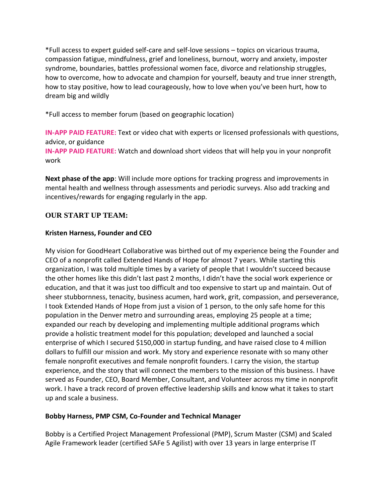\*Full access to expert guided self-care and self-love sessions – topics on vicarious trauma, compassion fatigue, mindfulness, grief and loneliness, burnout, worry and anxiety, imposter syndrome, boundaries, battles professional women face, divorce and relationship struggles, how to overcome, how to advocate and champion for yourself, beauty and true inner strength, how to stay positive, how to lead courageously, how to love when you've been hurt, how to dream big and wildly

\*Full access to member forum (based on geographic location)

**IN-APP PAID FEATURE:** Text or video chat with experts or licensed professionals with questions, advice, or guidance

**IN-APP PAID FEATURE:** Watch and download short videos that will help you in your nonprofit work

**Next phase of the app**: Will include more options for tracking progress and improvements in mental health and wellness through assessments and periodic surveys. Also add tracking and incentives/rewards for engaging regularly in the app.

# **OUR START UP TEAM:**

# **Kristen Harness, Founder and CEO**

My vision for GoodHeart Collaborative was birthed out of my experience being the Founder and CEO of a nonprofit called Extended Hands of Hope for almost 7 years. While starting this organization, I was told multiple times by a variety of people that I wouldn't succeed because the other homes like this didn't last past 2 months, I didn't have the social work experience or education, and that it was just too difficult and too expensive to start up and maintain. Out of sheer stubbornness, tenacity, business acumen, hard work, grit, compassion, and perseverance, I took Extended Hands of Hope from just a vision of 1 person, to the only safe home for this population in the Denver metro and surrounding areas, employing 25 people at a time; expanded our reach by developing and implementing multiple additional programs which provide a holistic treatment model for this population; developed and launched a social enterprise of which I secured \$150,000 in startup funding, and have raised close to 4 million dollars to fulfill our mission and work. My story and experience resonate with so many other female nonprofit executives and female nonprofit founders. I carry the vision, the startup experience, and the story that will connect the members to the mission of this business. I have served as Founder, CEO, Board Member, Consultant, and Volunteer across my time in nonprofit work. I have a track record of proven effective leadership skills and know what it takes to start up and scale a business.

# **Bobby Harness, PMP CSM, Co-Founder and Technical Manager**

Bobby is a Certified Project Management Professional (PMP), Scrum Master (CSM) and Scaled Agile Framework leader (certified SAFe 5 Agilist) with over 13 years in large enterprise IT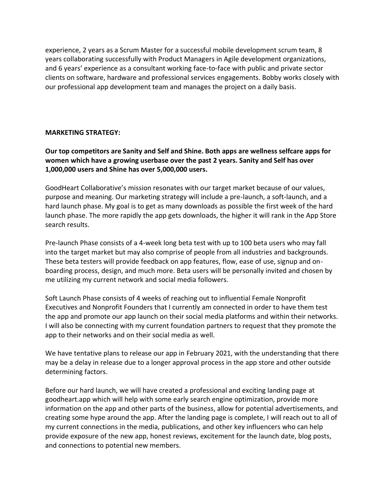experience, 2 years as a Scrum Master for a successful mobile development scrum team, 8 years collaborating successfully with Product Managers in Agile development organizations, and 6 years' experience as a consultant working face-to-face with public and private sector clients on software, hardware and professional services engagements. Bobby works closely with our professional app development team and manages the project on a daily basis.

#### **MARKETING STRATEGY:**

**Our top competitors are Sanity and Self and Shine. Both apps are wellness selfcare apps for women which have a growing userbase over the past 2 years. Sanity and Self has over 1,000,000 users and Shine has over 5,000,000 users.**

GoodHeart Collaborative's mission resonates with our target market because of our values, purpose and meaning. Our marketing strategy will include a pre-launch, a soft-launch, and a hard launch phase. My goal is to get as many downloads as possible the first week of the hard launch phase. The more rapidly the app gets downloads, the higher it will rank in the App Store search results.

Pre-launch Phase consists of a 4-week long beta test with up to 100 beta users who may fall into the target market but may also comprise of people from all industries and backgrounds. These beta testers will provide feedback on app features, flow, ease of use, signup and onboarding process, design, and much more. Beta users will be personally invited and chosen by me utilizing my current network and social media followers.

Soft Launch Phase consists of 4 weeks of reaching out to influential Female Nonprofit Executives and Nonprofit Founders that I currently am connected in order to have them test the app and promote our app launch on their social media platforms and within their networks. I will also be connecting with my current foundation partners to request that they promote the app to their networks and on their social media as well.

We have tentative plans to release our app in February 2021, with the understanding that there may be a delay in release due to a longer approval process in the app store and other outside determining factors.

Before our hard launch, we will have created a professional and exciting landing page at goodheart.app which will help with some early search engine optimization, provide more information on the app and other parts of the business, allow for potential advertisements, and creating some hype around the app. After the landing page is complete, I will reach out to all of my current connections in the media, publications, and other key influencers who can help provide exposure of the new app, honest reviews, excitement for the launch date, blog posts, and connections to potential new members.